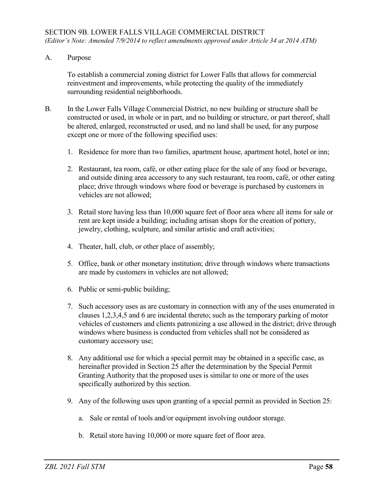A. Purpose

To establish a commercial zoning district for Lower Falls that allows for commercial reinvestment and improvements, while protecting the quality of the immediately surrounding residential neighborhoods.

- B. In the Lower Falls Village Commercial District, no new building or structure shall be constructed or used, in whole or in part, and no building or structure, or part thereof, shall be altered, enlarged, reconstructed or used, and no land shall be used, for any purpose except one or more of the following specified uses:
	- 1. Residence for more than two families, apartment house, apartment hotel, hotel or inn;
	- 2. Restaurant, tea room, café, or other eating place for the sale of any food or beverage, and outside dining area accessory to any such restaurant, tea room, café, or other eating place; drive through windows where food or beverage is purchased by customers in vehicles are not allowed;
	- 3. Retail store having less than 10,000 square feet of floor area where all items for sale or rent are kept inside a building; including artisan shops for the creation of pottery, jewelry, clothing, sculpture, and similar artistic and craft activities;
	- 4. Theater, hall, club, or other place of assembly;
	- 5. Office, bank or other monetary institution; drive through windows where transactions are made by customers in vehicles are not allowed;
	- 6. Public or semi-public building;
	- 7. Such accessory uses as are customary in connection with any of the uses enumerated in clauses 1,2,3,4,5 and 6 are incidental thereto; such as the temporary parking of motor vehicles of customers and clients patronizing a use allowed in the district; drive through windows where business is conducted from vehicles shall not be considered as customary accessory use;
	- 8. Any additional use for which a special permit may be obtained in a specific case, as hereinafter provided in Section 25 after the determination by the Special Permit Granting Authority that the proposed uses is similar to one or more of the uses specifically authorized by this section.
	- 9. Any of the following uses upon granting of a special permit as provided in Section 25:
		- a. Sale or rental of tools and/or equipment involving outdoor storage.
		- b. Retail store having 10,000 or more square feet of floor area.